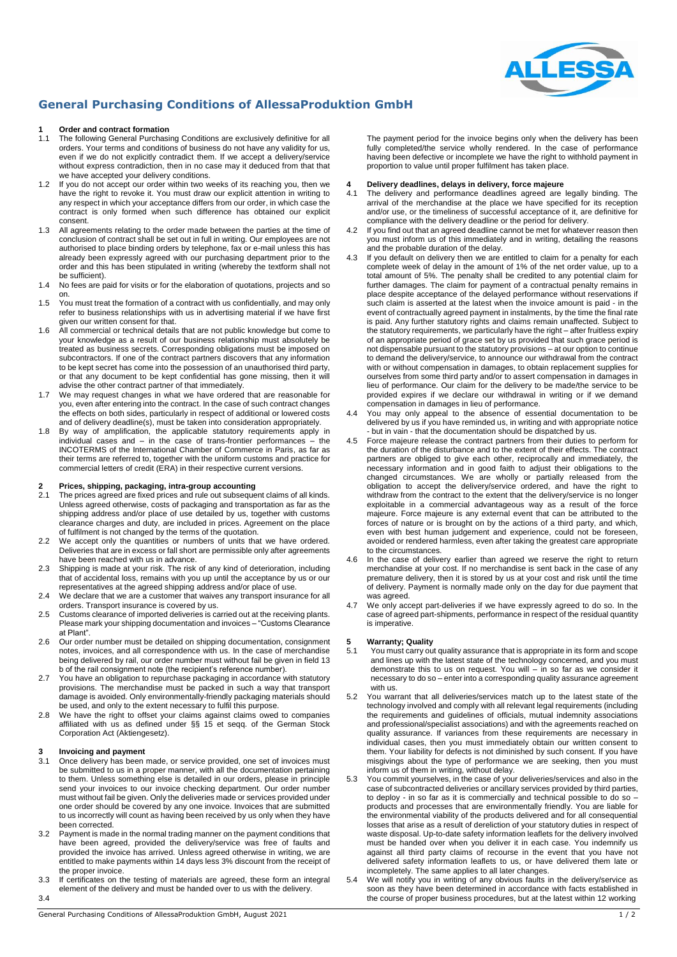

### **General Purchasing Conditions of AllessaProduktion GmbH**

# **1 1 Order and contract formation**<br>**11** The following General Purchasi

- The following General Purchasing Conditions are exclusively definitive for all orders. Your terms and conditions of business do not have any validity for us, even if we do not explicitly contradict them. If we accept a delivery/service without express contradiction, then in no case may it deduced from that that we have accepted your delivery conditions.
- 1.2 If you do not accept our order within two weeks of its reaching you, then we have the right to revoke it. You must draw our explicit attention in writing to any respect in which your acceptance differs from our order, in which case the contract is only formed when such difference has obtained our explicit consent.
- 1.3 All agreements relating to the order made between the parties at the time of conclusion of contract shall be set out in full in writing. Our employees are not authorised to place binding orders by telephone, fax or e-mail unless this has already been expressly agreed with our purchasing department prior to the order and this has been stipulated in writing (whereby the textform shall not be sufficient).
- 1.4 No fees are paid for visits or for the elaboration of quotations, projects and so on.
- 1.5 You must treat the formation of a contract with us confidentially, and may only refer to business relationships with us in advertising material if we have first given our written consent for that.
- 1.6 All commercial or technical details that are not public knowledge but come to your knowledge as a result of our business relationship must absolutely be treated as business secrets. Corresponding obligations must be imposed on subcontractors. If one of the contract partners discovers that any information to be kept secret has come into the possession of an unauthorised third party, or that any document to be kept confidential has gone missing, then it will advise the other contract partner of that immediately.
- 1.7 We may request changes in what we have ordered that are reasonable for you, even after entering into the contract. In the case of such contract changes the effects on both sides, particularly in respect of additional or lowered costs and of delivery deadline(s), must be taken into consideration appropriately.
- 1.8 By way of amplification, the applicable statutory requirements apply in individual cases and – in the case of trans-frontier performances – the INCOTERMS of the International Chamber of Commerce in Paris, as far as their terms are referred to, together with the uniform customs and practice for commercial letters of credit (ERA) in their respective current versions.

# **2 Prices, shipping, packaging, intra-group accounting**

- The prices agreed are fixed prices and rule out subsequent claims of all kinds. Unless agreed otherwise, costs of packaging and transportation as far as the shipping address and/or place of use detailed by us, together with customs clearance charges and duty, are included in prices. Agreement on the place of fulfilment is not changed by the terms of the quotation.
- 2.2 We accept only the quantities or numbers of units that we have ordered. Deliveries that are in excess or fall short are permissible only after agreements have been reached with us in advance.
- 2.3 Shipping is made at your risk. The risk of any kind of deterioration, including that of accidental loss, remains with you up until the acceptance by us or our representatives at the agreed shipping address and/or place of use.
- 2.4 We declare that we are a customer that waives any transport insurance for all orders. Transport insurance is covered by us.
- 2.5 Customs clearance of imported deliveries is carried out at the receiving plants. Please mark your shipping documentation and invoices – "Customs Clearance at Plant".
- 2.6 Our order number must be detailed on shipping documentation, consignment notes, invoices, and all correspondence with us. In the case of merchandise being delivered by rail, our order number must without fail be given in field 13 b of the rail consignment note (the recipient's reference number).
- 2.7 You have an obligation to repurchase packaging in accordance with statutory provisions. The merchandise must be packed in such a way that transport damage is avoided. Only environmentally-friendly packaging materials should be used, and only to the extent necessary to fulfil this purpose.
- 2.8 We have the right to offset your claims against claims owed to companies affiliated with us as defined under §§ 15 et seqq. of the German Stock Corporation Act (Aktiengesetz).

## **3 Invoicing and payment**<br>**31** Once delivery has been

- Once delivery has been made, or service provided, one set of invoices must be submitted to us in a proper manner, with all the documentation pertaining to them. Unless something else is detailed in our orders, please in principle send your invoices to our invoice checking department. Our order number must without fail be given. Only the deliveries made or services provided under one order should be covered by any one invoice. Invoices that are submitted to us incorrectly will count as having been received by us only when they have been corrected.
- 3.2 Payment is made in the normal trading manner on the payment conditions that have been agreed, provided the delivery/service was free of faults and provided the invoice has arrived. Unless agreed otherwise in writing, we are entitled to make payments within 14 days less 3% discount from the receipt of the proper invoice.
- 3.3 If certificates on the testing of materials are agreed, these form an integral element of the delivery and must be handed over to us with the delivery. 3.4

The payment period for the invoice begins only when the delivery has been fully completed/the service wholly rendered. In the case of performance having been defective or incomplete we have the right to withhold payment in proportion to value until proper fulfilment has taken place.

# **4 Delivery deadlines, delays in delivery, force majeure**

- The delivery and performance deadlines agreed are legally binding. The arrival of the merchandise at the place we have specified for its reception and/or use, or the timeliness of successful acceptance of it, are definitive for compliance with the delivery deadline or the period for delivery.
- 4.2 If you find out that an agreed deadline cannot be met for whatever reason then you must inform us of this immediately and in writing, detailing the reasons and the probable duration of the delay.
- 4.3 If you default on delivery then we are entitled to claim for a penalty for each complete week of delay in the amount of 1% of the net order value, up to a total amount of 5%. The penalty shall be credited to any potential claim for further damages. The claim for payment of a contractual penalty remains in place despite acceptance of the delayed performance without reservations if such claim is asserted at the latest when the invoice amount is paid - in the event of contractually agreed payment in instalments, by the time the final rate is paid. Any further statutory rights and claims remain unaffected. Subject to the statutory requirements, we particularly have the right – after fruitless expiry of an appropriate period of grace set by us provided that such grace period is not dispensable pursuant to the statutory provisions – at our option to continue to demand the delivery/service, to announce our withdrawal from the contract with or without compensation in damages, to obtain replacement supplies for ourselves from some third party and/or to assert compensation in damages in lieu of performance. Our claim for the delivery to be made/the service to be provided expires if we declare our withdrawal in writing or if we demand compensation in damages in lieu of performance.
- 4.4 You may only appeal to the absence of essential documentation to be delivered by us if you have reminded us, in writing and with appropriate notice - but in vain - that the documentation should be dispatched by us.
- 4.5 Force majeure release the contract partners from their duties to perform for the duration of the disturbance and to the extent of their effects. The contract partners are obliged to give each other, reciprocally and immediately, the necessary information and in good faith to adjust their obligations to the changed circumstances. We are wholly or partially released from the obligation to accept the delivery/service ordered, and have the right to withdraw from the contract to the extent that the delivery/service is no longer exploitable in a commercial advantageous way as a result of the force majeure. Force majeure is any external event that can be attributed to the forces of nature or is brought on by the actions of a third party, and which, even with best human judgement and experience, could not be foreseen, avoided or rendered harmless, even after taking the greatest care appropriate to the circumstances.
- 4.6 In the case of delivery earlier than agreed we reserve the right to return merchandise at your cost. If no merchandise is sent back in the case of any premature delivery, then it is stored by us at your cost and risk until the time of delivery. Payment is normally made only on the day for due payment that was agreed.
- 4.7 We only accept part-deliveries if we have expressly agreed to do so. In the case of agreed part-shipments, performance in respect of the residual quantity is imperative.

# **5 Warranty; Quality**

- You must carry out quality assurance that is appropriate in its form and scope and lines up with the latest state of the technology concerned, and you must demonstrate this to us on request. You will – in so far as we consider it necessary to do so - enter into a corresponding quality assurance agreement with us.
- 5.2 You warrant that all deliveries/services match up to the latest state of the technology involved and comply with all relevant legal requirements (including the requirements and guidelines of officials, mutual indemnity associations and professional/specialist associations) and with the agreements reached on quality assurance. If variances from these requirements are necessary in individual cases, then you must immediately obtain our written consent to them. Your liability for defects is not diminished by such consent. If you have misgivings about the type of performance we are seeking, then you must inform us of them in writing, without delay.
- 5.3 You commit yourselves, in the case of your deliveries/services and also in the case of subcontracted deliveries or ancillary services provided by third parties, to deploy - in so far as it is commercially and technical possible to do so – products and processes that are environmentally friendly. You are liable for the environmental viability of the products delivered and for all consequential losses that arise as a result of dereliction of your statutory duties in respect of waste disposal. Up-to-date safety information leaflets for the delivery involved must be handed over when you deliver it in each case. You indemnify us against all third party claims of recourse in the event that you have not delivered safety information leaflets to us, or have delivered them late or incompletely. The same applies to all later changes.
- We will notify you in writing of any obvious faults in the delivery/service as soon as they have been determined in accordance with facts established in the course of proper business procedures, but at the latest within 12 working